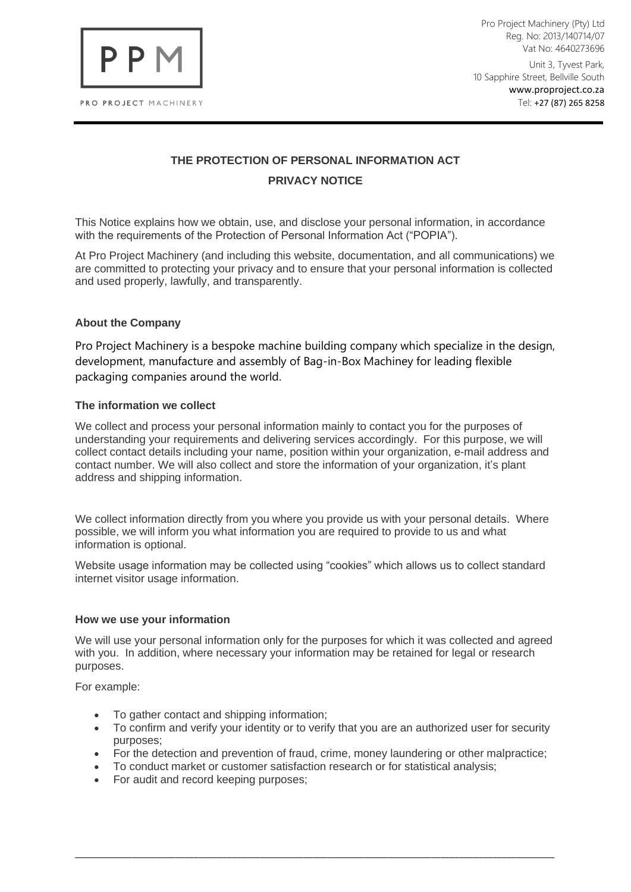

Pro Project Machinery (Pty) Ltd Reg. No: 2013/140714/07 Vat No: 4640273696

Unit 3, Tyvest Park, 10 Sapphire Street, Bellville South www.proproject.co.za Tel: +27 (87) 265 8258

# **THE PROTECTION OF PERSONAL INFORMATION ACT PRIVACY NOTICE**

This Notice explains how we obtain, use, and disclose your personal information, in accordance with the requirements of the Protection of Personal Information Act ("POPIA").

At Pro Project Machinery (and including this website, documentation, and all communications) we are committed to protecting your privacy and to ensure that your personal information is collected and used properly, lawfully, and transparently.

## **About the Company**

Pro Project Machinery is a bespoke machine building company which specialize in the design, development, manufacture and assembly of Bag-in-Box Machiney for leading flexible packaging companies around the world.

## **The information we collect**

We collect and process your personal information mainly to contact you for the purposes of understanding your requirements and delivering services accordingly. For this purpose, we will collect contact details including your name, position within your organization, e-mail address and contact number. We will also collect and store the information of your organization, it's plant address and shipping information.

We collect information directly from you where you provide us with your personal details. Where possible, we will inform you what information you are required to provide to us and what information is optional.

Website usage information may be collected using "cookies" which allows us to collect standard internet visitor usage information.

#### **How we use your information**

We will use your personal information only for the purposes for which it was collected and agreed with you. In addition, where necessary your information may be retained for legal or research purposes.

For example:

- To gather contact and shipping information;
- To confirm and verify your identity or to verify that you are an authorized user for security purposes;
- For the detection and prevention of fraud, crime, money laundering or other malpractice;

\_\_\_\_\_\_\_\_\_\_\_\_\_\_\_\_\_\_\_\_\_\_\_\_\_\_\_\_\_\_\_\_\_\_\_\_\_\_\_\_\_\_\_\_\_\_\_\_\_\_\_\_\_\_\_\_\_\_\_\_\_\_\_\_\_\_\_\_\_\_\_\_\_\_\_\_\_\_\_\_\_\_\_\_\_\_\_\_\_\_\_\_\_\_\_\_\_\_\_\_\_

- To conduct market or customer satisfaction research or for statistical analysis;
- For audit and record keeping purposes;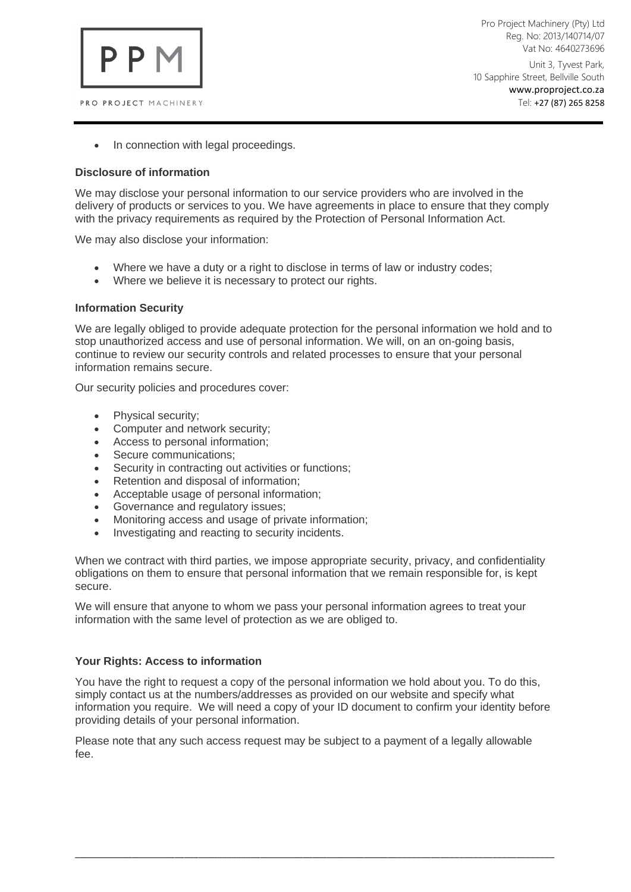

Pro Project Machinery (Pty) Ltd Reg. No: 2013/140714/07 Vat No: 4640273696

Unit 3, Tyvest Park, 10 Sapphire Street, Bellville South www.proproject.co.za Tel: +27 (87) 265 8258

• In connection with legal proceedings.

### **Disclosure of information**

We may disclose your personal information to our service providers who are involved in the delivery of products or services to you. We have agreements in place to ensure that they comply with the privacy requirements as required by the Protection of Personal Information Act.

We may also disclose your information:

- Where we have a duty or a right to disclose in terms of law or industry codes;
- Where we believe it is necessary to protect our rights.

#### **Information Security**

We are legally obliged to provide adequate protection for the personal information we hold and to stop unauthorized access and use of personal information. We will, on an on-going basis, continue to review our security controls and related processes to ensure that your personal information remains secure.

Our security policies and procedures cover:

- Physical security;
- Computer and network security;
- Access to personal information;
- Secure communications;
- Security in contracting out activities or functions;
- Retention and disposal of information;
- Acceptable usage of personal information;
- Governance and regulatory issues;
- Monitoring access and usage of private information;
- Investigating and reacting to security incidents.

When we contract with third parties, we impose appropriate security, privacy, and confidentiality obligations on them to ensure that personal information that we remain responsible for, is kept secure.

We will ensure that anyone to whom we pass your personal information agrees to treat your information with the same level of protection as we are obliged to.

#### **Your Rights: Access to information**

You have the right to request a copy of the personal information we hold about you. To do this, simply contact us at the numbers/addresses as provided on our website and specify what information you require. We will need a copy of your ID document to confirm your identity before providing details of your personal information.

Please note that any such access request may be subject to a payment of a legally allowable fee.

\_\_\_\_\_\_\_\_\_\_\_\_\_\_\_\_\_\_\_\_\_\_\_\_\_\_\_\_\_\_\_\_\_\_\_\_\_\_\_\_\_\_\_\_\_\_\_\_\_\_\_\_\_\_\_\_\_\_\_\_\_\_\_\_\_\_\_\_\_\_\_\_\_\_\_\_\_\_\_\_\_\_\_\_\_\_\_\_\_\_\_\_\_\_\_\_\_\_\_\_\_